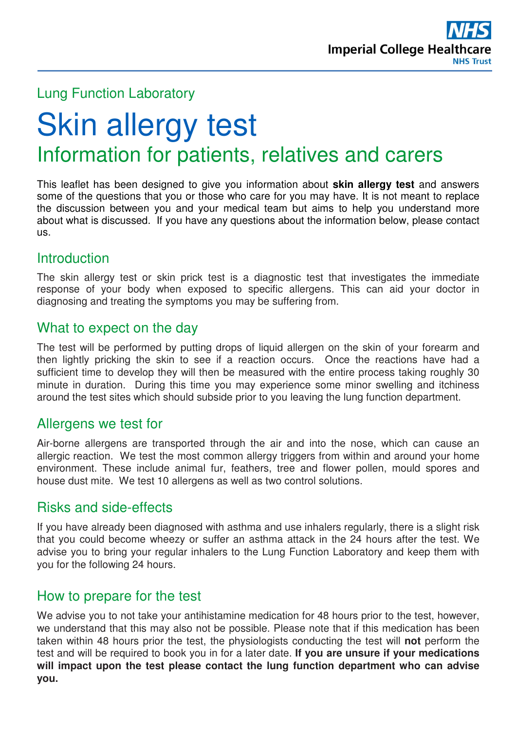

# Lung Function Laboratory

# Skin allergy test Information for patients, relatives and carers

This leaflet has been designed to give you information about **skin allergy test** and answers some of the questions that you or those who care for you may have. It is not meant to replace the discussion between you and your medical team but aims to help you understand more about what is discussed. If you have any questions about the information below, please contact us.

# **Introduction**

The skin allergy test or skin prick test is a diagnostic test that investigates the immediate response of your body when exposed to specific allergens. This can aid your doctor in diagnosing and treating the symptoms you may be suffering from.

### What to expect on the day

The test will be performed by putting drops of liquid allergen on the skin of your forearm and then lightly pricking the skin to see if a reaction occurs. Once the reactions have had a sufficient time to develop they will then be measured with the entire process taking roughly 30 minute in duration. During this time you may experience some minor swelling and itchiness around the test sites which should subside prior to you leaving the lung function department.

### Allergens we test for

Air-borne allergens are transported through the air and into the nose, which can cause an allergic reaction. We test the most common allergy triggers from within and around your home environment. These include animal fur, feathers, tree and flower pollen, mould spores and house dust mite. We test 10 allergens as well as two control solutions.

### Risks and side-effects

If you have already been diagnosed with asthma and use inhalers regularly, there is a slight risk that you could become wheezy or suffer an asthma attack in the 24 hours after the test. We advise you to bring your regular inhalers to the Lung Function Laboratory and keep them with you for the following 24 hours.

# How to prepare for the test

We advise you to not take your antihistamine medication for 48 hours prior to the test, however, we understand that this may also not be possible. Please note that if this medication has been taken within 48 hours prior the test, the physiologists conducting the test will **not** perform the test and will be required to book you in for a later date. **If you are unsure if your medications will impact upon the test please contact the lung function department who can advise you.**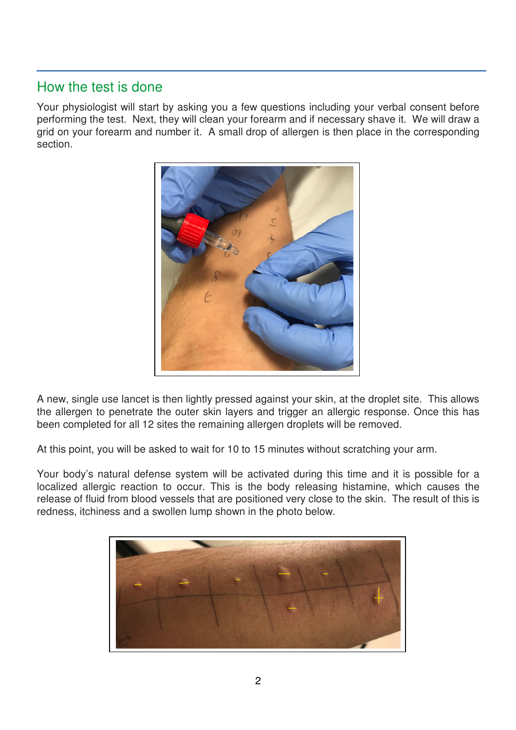# How the test is done

Your physiologist will start by asking you a few questions including your verbal consent before performing the test. Next, they will clean your forearm and if necessary shave it. We will draw a grid on your forearm and number it. A small drop of allergen is then place in the corresponding section.



A new, single use lancet is then lightly pressed against your skin, at the droplet site. This allows the allergen to penetrate the outer skin layers and trigger an allergic response. Once this has been completed for all 12 sites the remaining allergen droplets will be removed.

At this point, you will be asked to wait for 10 to 15 minutes without scratching your arm.

Your body's natural defense system will be activated during this time and it is possible for a localized allergic reaction to occur. This is the body releasing histamine, which causes the release of fluid from blood vessels that are positioned very close to the skin. The result of this is redness, itchiness and a swollen lump shown in the photo below.